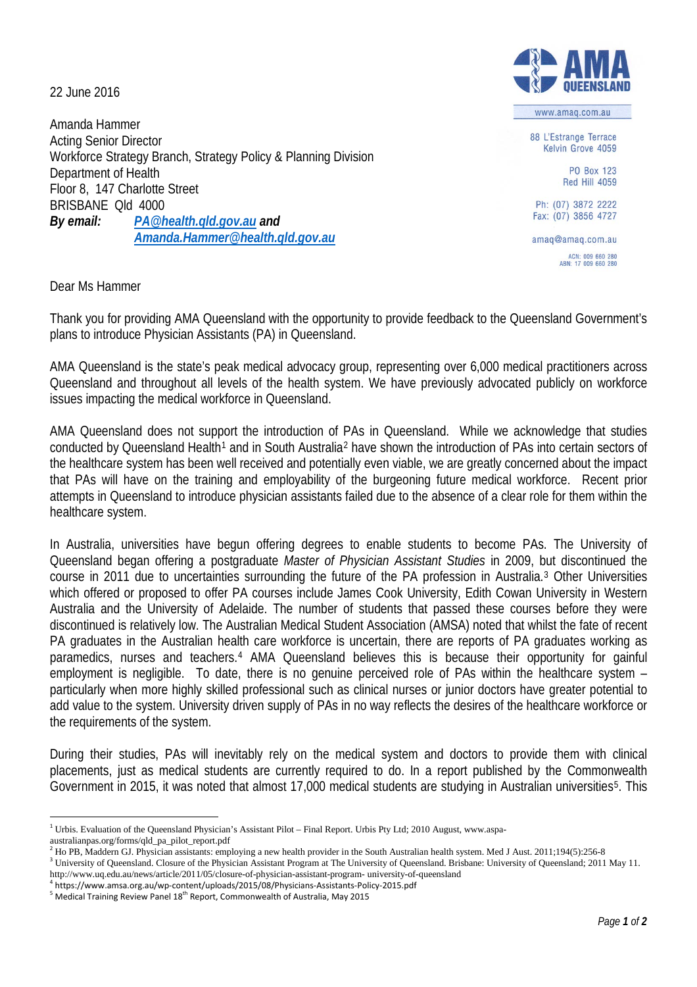22 June 2016

Amanda Hammer Acting Senior Director Workforce Strategy Branch, Strategy Policy & Planning Division Department of Health Floor 8, 147 Charlotte Street BRISBANE Qld 4000 *By email: [PA@health.qld.gov.au](mailto:PA@health.qld.gov.au) and [Amanda.Hammer@health.qld.gov.au](mailto:Amanda.Hammer@health.qld.gov.au)*

www.amag.com.au

88 L'Estrange Terrace Kelvin Grove 4059

> PO Box 123 **Red Hill 4059**

Ph: (07) 3872 2222 Fax: (07) 3856 4727

amaq@amaq.com.au ACN: 009 660 280<br>ABN: 17 009 660 280

Dear Ms Hammer

Thank you for providing AMA Queensland with the opportunity to provide feedback to the Queensland Government's plans to introduce Physician Assistants (PA) in Queensland.

AMA Queensland is the state's peak medical advocacy group, representing over 6,000 medical practitioners across Queensland and throughout all levels of the health system. We have previously advocated publicly on workforce issues impacting the medical workforce in Queensland.

AMA Queensland does not support the introduction of PAs in Queensland. While we acknowledge that studies conducted by Queensland Health<sup>[1](#page-0-0)</sup> and in South Australia<sup>[2](#page-0-1)</sup> have shown the introduction of PAs into certain sectors of the healthcare system has been well received and potentially even viable, we are greatly concerned about the impact that PAs will have on the training and employability of the burgeoning future medical workforce. Recent prior attempts in Queensland to introduce physician assistants failed due to the absence of a clear role for them within the healthcare system.

In Australia, universities have begun offering degrees to enable students to become PAs. The University of Queensland began offering a postgraduate *Master of Physician Assistant Studies* in 2009, but discontinued the course in 2011 due to uncertainties surrounding the future of the PA profession in Australia.[3](#page-0-2) Other Universities which offered or proposed to offer PA courses include James Cook University, Edith Cowan University in Western Australia and the University of Adelaide. The number of students that passed these courses before they were discontinued is relatively low. The Australian Medical Student Association (AMSA) noted that whilst the fate of recent PA graduates in the Australian health care workforce is uncertain, there are reports of PA graduates working as paramedics, nurses and teachers.[4](#page-0-3) AMA Queensland believes this is because their opportunity for gainful employment is negligible. To date, there is no genuine perceived role of PAs within the healthcare system – particularly when more highly skilled professional such as clinical nurses or junior doctors have greater potential to add value to the system. University driven supply of PAs in no way reflects the desires of the healthcare workforce or the requirements of the system.

During their studies, PAs will inevitably rely on the medical system and doctors to provide them with clinical placements, just as medical students are currently required to do. In a report published by the Commonwealth Government in 201[5](#page-0-4), it was noted that almost 17,000 medical students are studying in Australian universities<sup>5</sup>. This

<span id="page-0-0"></span><sup>&</sup>lt;sup>1</sup> Urbis. Evaluation of the Queensland Physician's Assistant Pilot – Final Report. Urbis Pty Ltd; 2010 August, www.aspa-

australianpas.org/forms/qld\_pa\_pilot\_report.pdf

<span id="page-0-1"></span><sup>&</sup>lt;sup>2</sup> Ho PB, Maddern GJ. Physician assistants: employing a new health provider in the South Australian health system. Med J Aust. 2011;194(5):256-8 <sup>3</sup> University of Queensland. Closure of the Physician Assistant Program at The University of Queensland. Brisbane: University of Queensland; 2011 May 11.

<span id="page-0-3"></span><span id="page-0-2"></span>http://www.uq.edu.au/news/article/2011/05/closure-of-physician-assistant-program- university-of-queensland  $^4$  https://www.amsa.org.au/wp-content/uploads/2015/08/Physicians-Assistants-Policy-2015.pdf  $^5$  Medical Trainin

<span id="page-0-4"></span>